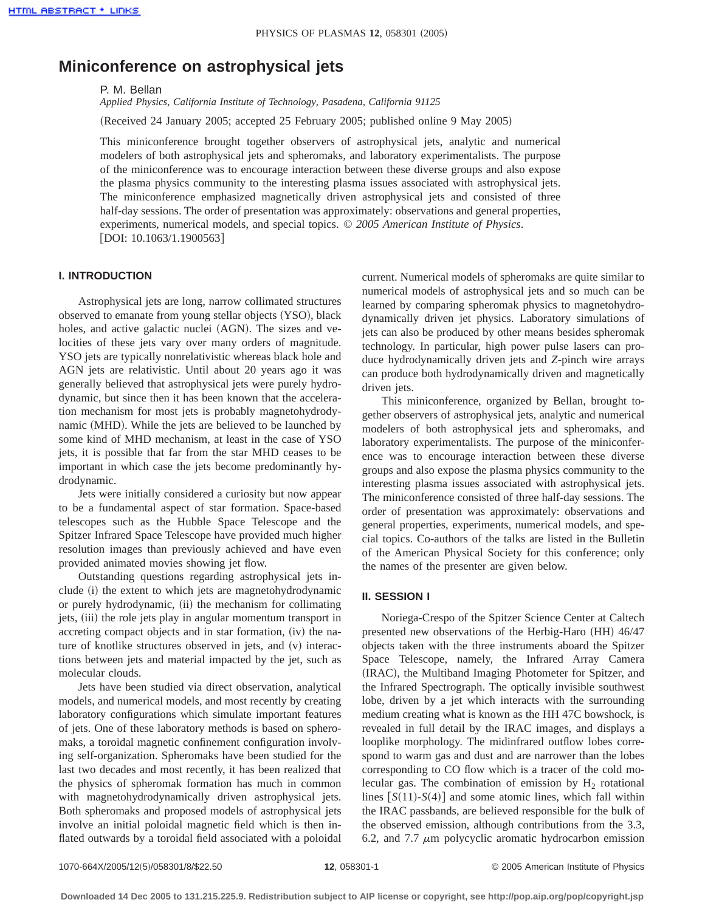# **Miniconference on astrophysical jets**

P. M. Bellan

*Applied Physics, California Institute of Technology, Pasadena, California 91125*

(Received 24 January 2005; accepted 25 February 2005; published online 9 May 2005)

This miniconference brought together observers of astrophysical jets, analytic and numerical modelers of both astrophysical jets and spheromaks, and laboratory experimentalists. The purpose of the miniconference was to encourage interaction between these diverse groups and also expose the plasma physics community to the interesting plasma issues associated with astrophysical jets. The miniconference emphasized magnetically driven astrophysical jets and consisted of three half-day sessions. The order of presentation was approximately: observations and general properties, experiments, numerical models, and special topics. © *2005 American Institute of Physics*.  $[$ DOI: 10.1063/1.1900563]

### **I. INTRODUCTION**

Astrophysical jets are long, narrow collimated structures observed to emanate from young stellar objects (YSO), black holes, and active galactic nuclei (AGN). The sizes and velocities of these jets vary over many orders of magnitude. YSO jets are typically nonrelativistic whereas black hole and AGN jets are relativistic. Until about 20 years ago it was generally believed that astrophysical jets were purely hydrodynamic, but since then it has been known that the acceleration mechanism for most jets is probably magnetohydrodynamic (MHD). While the jets are believed to be launched by some kind of MHD mechanism, at least in the case of YSO jets, it is possible that far from the star MHD ceases to be important in which case the jets become predominantly hydrodynamic.

Jets were initially considered a curiosity but now appear to be a fundamental aspect of star formation. Space-based telescopes such as the Hubble Space Telescope and the Spitzer Infrared Space Telescope have provided much higher resolution images than previously achieved and have even provided animated movies showing jet flow.

Outstanding questions regarding astrophysical jets include (i) the extent to which jets are magnetohydrodynamic or purely hydrodynamic, (ii) the mechanism for collimating jets, (iii) the role jets play in angular momentum transport in accreting compact objects and in star formation, (iv) the nature of knotlike structures observed in jets, and  $(v)$  interactions between jets and material impacted by the jet, such as molecular clouds.

Jets have been studied via direct observation, analytical models, and numerical models, and most recently by creating laboratory configurations which simulate important features of jets. One of these laboratory methods is based on spheromaks, a toroidal magnetic confinement configuration involving self-organization. Spheromaks have been studied for the last two decades and most recently, it has been realized that the physics of spheromak formation has much in common with magnetohydrodynamically driven astrophysical jets. Both spheromaks and proposed models of astrophysical jets involve an initial poloidal magnetic field which is then inflated outwards by a toroidal field associated with a poloidal current. Numerical models of spheromaks are quite similar to numerical models of astrophysical jets and so much can be learned by comparing spheromak physics to magnetohydrodynamically driven jet physics. Laboratory simulations of jets can also be produced by other means besides spheromak technology. In particular, high power pulse lasers can produce hydrodynamically driven jets and *Z*-pinch wire arrays can produce both hydrodynamically driven and magnetically driven jets.

This miniconference, organized by Bellan, brought together observers of astrophysical jets, analytic and numerical modelers of both astrophysical jets and spheromaks, and laboratory experimentalists. The purpose of the miniconference was to encourage interaction between these diverse groups and also expose the plasma physics community to the interesting plasma issues associated with astrophysical jets. The miniconference consisted of three half-day sessions. The order of presentation was approximately: observations and general properties, experiments, numerical models, and special topics. Co-authors of the talks are listed in the Bulletin of the American Physical Society for this conference; only the names of the presenter are given below.

# **II. SESSION I**

Noriega-Crespo of the Spitzer Science Center at Caltech presented new observations of the Herbig-Haro (HH) 46/47 objects taken with the three instruments aboard the Spitzer Space Telescope, namely, the Infrared Array Camera (IRAC), the Multiband Imaging Photometer for Spitzer, and the Infrared Spectrograph. The optically invisible southwest lobe, driven by a jet which interacts with the surrounding medium creating what is known as the HH 47C bowshock, is revealed in full detail by the IRAC images, and displays a looplike morphology. The midinfrared outflow lobes correspond to warm gas and dust and are narrower than the lobes corresponding to CO flow which is a tracer of the cold molecular gas. The combination of emission by  $H_2$  rotational lines  $[S(11)-S(4)]$  and some atomic lines, which fall within the IRAC passbands, are believed responsible for the bulk of the observed emission, although contributions from the 3.3, 6.2, and 7.7  $\mu$ m polycyclic aromatic hydrocarbon emission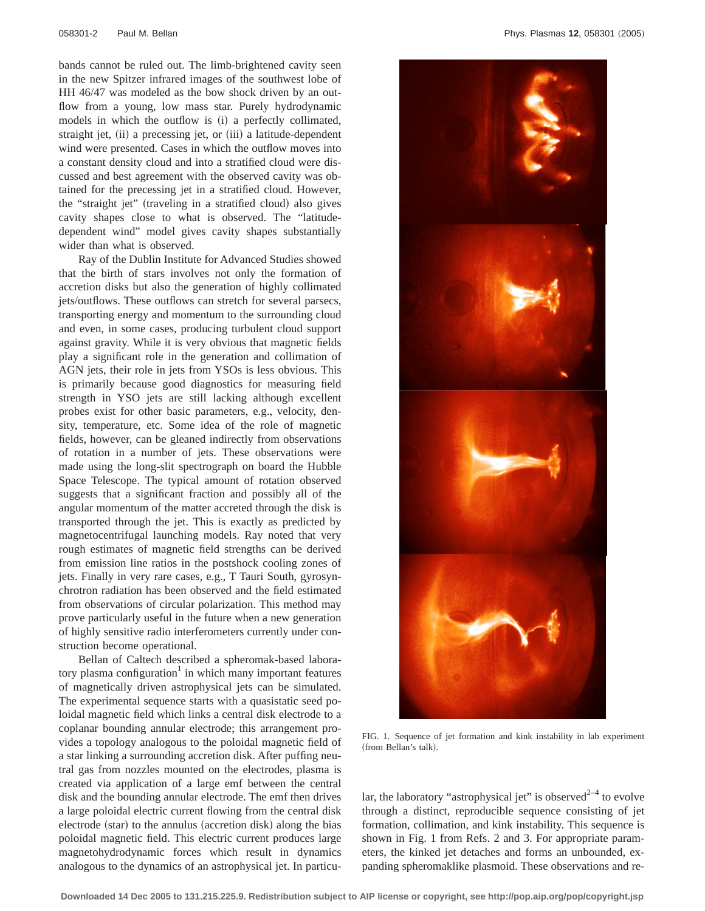bands cannot be ruled out. The limb-brightened cavity seen in the new Spitzer infrared images of the southwest lobe of HH 46/47 was modeled as the bow shock driven by an outflow from a young, low mass star. Purely hydrodynamic models in which the outflow is (i) a perfectly collimated, straight jet, (ii) a precessing jet, or (iii) a latitude-dependent wind were presented. Cases in which the outflow moves into a constant density cloud and into a stratified cloud were discussed and best agreement with the observed cavity was obtained for the precessing jet in a stratified cloud. However, the "straight jet" (traveling in a stratified cloud) also gives cavity shapes close to what is observed. The "latitudedependent wind" model gives cavity shapes substantially wider than what is observed.

Ray of the Dublin Institute for Advanced Studies showed that the birth of stars involves not only the formation of accretion disks but also the generation of highly collimated jets/outflows. These outflows can stretch for several parsecs, transporting energy and momentum to the surrounding cloud and even, in some cases, producing turbulent cloud support against gravity. While it is very obvious that magnetic fields play a significant role in the generation and collimation of AGN jets, their role in jets from YSOs is less obvious. This is primarily because good diagnostics for measuring field strength in YSO jets are still lacking although excellent probes exist for other basic parameters, e.g., velocity, density, temperature, etc. Some idea of the role of magnetic fields, however, can be gleaned indirectly from observations of rotation in a number of jets. These observations were made using the long-slit spectrograph on board the Hubble Space Telescope. The typical amount of rotation observed suggests that a significant fraction and possibly all of the angular momentum of the matter accreted through the disk is transported through the jet. This is exactly as predicted by magnetocentrifugal launching models. Ray noted that very rough estimates of magnetic field strengths can be derived from emission line ratios in the postshock cooling zones of jets. Finally in very rare cases, e.g., T Tauri South, gyrosynchrotron radiation has been observed and the field estimated from observations of circular polarization. This method may prove particularly useful in the future when a new generation of highly sensitive radio interferometers currently under construction become operational.

Bellan of Caltech described a spheromak-based laboratory plasma configuration $\frac{1}{1}$  in which many important features of magnetically driven astrophysical jets can be simulated. The experimental sequence starts with a quasistatic seed poloidal magnetic field which links a central disk electrode to a coplanar bounding annular electrode; this arrangement provides a topology analogous to the poloidal magnetic field of a star linking a surrounding accretion disk. After puffing neutral gas from nozzles mounted on the electrodes, plasma is created via application of a large emf between the central disk and the bounding annular electrode. The emf then drives a large poloidal electric current flowing from the central disk electrode (star) to the annulus (accretion disk) along the bias poloidal magnetic field. This electric current produces large magnetohydrodynamic forces which result in dynamics analogous to the dynamics of an astrophysical jet. In particu-



FIG. 1. Sequence of jet formation and kink instability in lab experiment (from Bellan's talk).

lar, the laboratory "astrophysical jet" is observed $^{2-4}$  to evolve through a distinct, reproducible sequence consisting of jet formation, collimation, and kink instability. This sequence is shown in Fig. 1 from Refs. 2 and 3. For appropriate parameters, the kinked jet detaches and forms an unbounded, expanding spheromaklike plasmoid. These observations and re-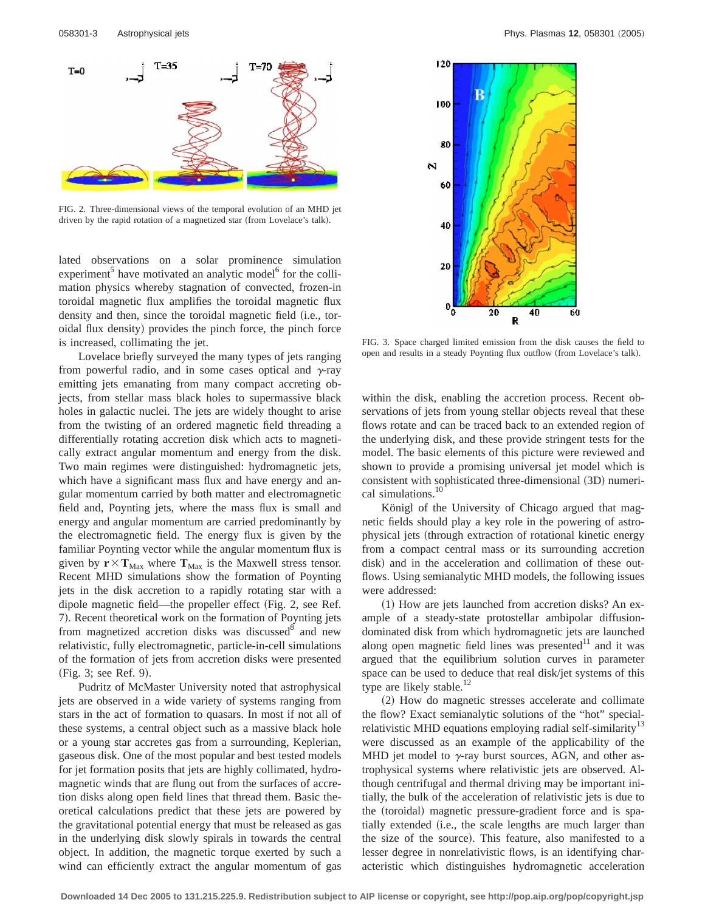

FIG. 2. Three-dimensional views of the temporal evolution of an MHD jet driven by the rapid rotation of a magnetized star (from Lovelace's talk).

lated observations on a solar prominence simulation experiment<sup>5</sup> have motivated an analytic model $<sup>6</sup>$  for the colli-</sup> mation physics whereby stagnation of convected, frozen-in toroidal magnetic flux amplifies the toroidal magnetic flux density and then, since the toroidal magnetic field (i.e., toroidal flux density) provides the pinch force, the pinch force is increased, collimating the jet.

Lovelace briefly surveyed the many types of jets ranging from powerful radio, and in some cases optical and  $\gamma$ -ray emitting jets emanating from many compact accreting objects, from stellar mass black holes to supermassive black holes in galactic nuclei. The jets are widely thought to arise from the twisting of an ordered magnetic field threading a differentially rotating accretion disk which acts to magnetically extract angular momentum and energy from the disk. Two main regimes were distinguished: hydromagnetic jets, which have a significant mass flux and have energy and angular momentum carried by both matter and electromagnetic field and, Poynting jets, where the mass flux is small and energy and angular momentum are carried predominantly by the electromagnetic field. The energy flux is given by the familiar Poynting vector while the angular momentum flux is given by  $\mathbf{r} \times \mathbf{T}_{\text{Max}}$  where  $\mathbf{T}_{\text{Max}}$  is the Maxwell stress tensor. Recent MHD simulations show the formation of Poynting jets in the disk accretion to a rapidly rotating star with a dipole magnetic field—the propeller effect (Fig. 2, see Ref. 7). Recent theoretical work on the formation of Poynting jets from magnetized accretion disks was discussed<sup>8</sup> and new relativistic, fully electromagnetic, particle-in-cell simulations of the formation of jets from accretion disks were presented  $(Fig. 3; see Ref. 9).$ 

Pudritz of McMaster University noted that astrophysical jets are observed in a wide variety of systems ranging from stars in the act of formation to quasars. In most if not all of these systems, a central object such as a massive black hole or a young star accretes gas from a surrounding, Keplerian, gaseous disk. One of the most popular and best tested models for jet formation posits that jets are highly collimated, hydromagnetic winds that are flung out from the surfaces of accretion disks along open field lines that thread them. Basic theoretical calculations predict that these jets are powered by the gravitational potential energy that must be released as gas in the underlying disk slowly spirals in towards the central object. In addition, the magnetic torque exerted by such a wind can efficiently extract the angular momentum of gas



FIG. 3. Space charged limited emission from the disk causes the field to open and results in a steady Poynting flux outflow (from Lovelace's talk).

within the disk, enabling the accretion process. Recent observations of jets from young stellar objects reveal that these flows rotate and can be traced back to an extended region of the underlying disk, and these provide stringent tests for the model. The basic elements of this picture were reviewed and shown to provide a promising universal jet model which is consistent with sophisticated three-dimensional (3D) numerical simulations.<sup>10</sup>

Königl of the University of Chicago argued that magnetic fields should play a key role in the powering of astrophysical jets (through extraction of rotational kinetic energy from a compact central mass or its surrounding accretion disk) and in the acceleration and collimation of these outflows. Using semianalytic MHD models, the following issues were addressed:

 $(1)$  How are jets launched from accretion disks? An example of a steady-state protostellar ambipolar diffusiondominated disk from which hydromagnetic jets are launched along open magnetic field lines was presented $11$  and it was argued that the equilibrium solution curves in parameter space can be used to deduce that real disk/jet systems of this type are likely stable.<sup>12</sup>

(2) How do magnetic stresses accelerate and collimate the flow? Exact semianalytic solutions of the "hot" specialrelativistic MHD equations employing radial self-similarity<sup>13</sup> were discussed as an example of the applicability of the MHD jet model to  $\gamma$ -ray burst sources, AGN, and other astrophysical systems where relativistic jets are observed. Although centrifugal and thermal driving may be important initially, the bulk of the acceleration of relativistic jets is due to the (toroidal) magnetic pressure-gradient force and is spatially extended (i.e., the scale lengths are much larger than the size of the source). This feature, also manifested to a lesser degree in nonrelativistic flows, is an identifying characteristic which distinguishes hydromagnetic acceleration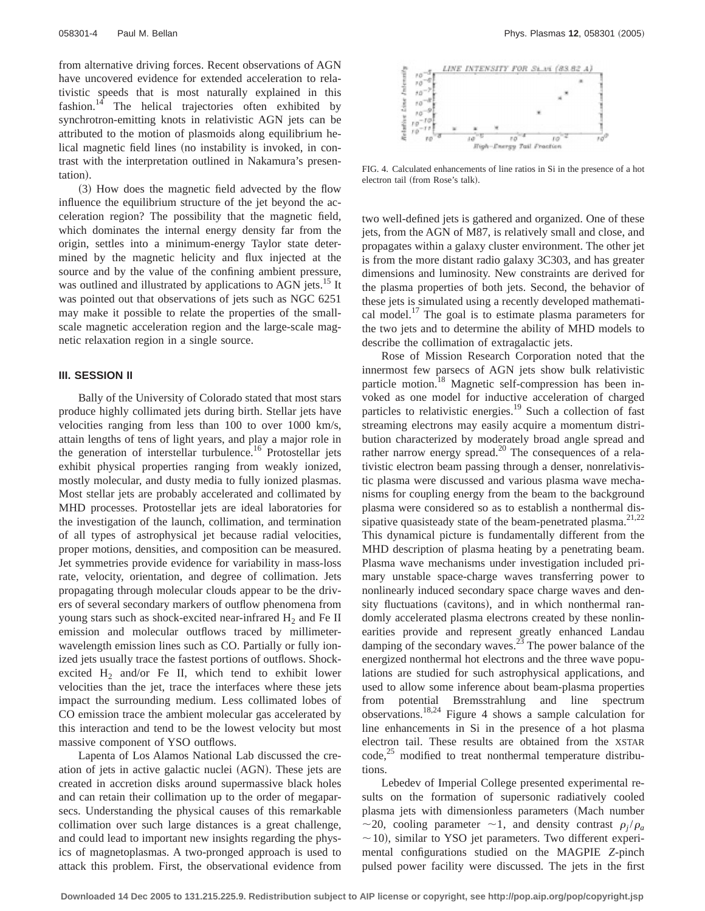from alternative driving forces. Recent observations of AGN have uncovered evidence for extended acceleration to relativistic speeds that is most naturally explained in this fashion.<sup>14</sup> The helical trajectories often exhibited by synchrotron-emitting knots in relativistic AGN jets can be attributed to the motion of plasmoids along equilibrium helical magnetic field lines (no instability is invoked, in contrast with the interpretation outlined in Nakamura's presentation).

 $(3)$  How does the magnetic field advected by the flow influence the equilibrium structure of the jet beyond the acceleration region? The possibility that the magnetic field, which dominates the internal energy density far from the origin, settles into a minimum-energy Taylor state determined by the magnetic helicity and flux injected at the source and by the value of the confining ambient pressure, was outlined and illustrated by applications to AGN jets.<sup>15</sup> It was pointed out that observations of jets such as NGC 6251 may make it possible to relate the properties of the smallscale magnetic acceleration region and the large-scale magnetic relaxation region in a single source.

#### **III. SESSION II**

Bally of the University of Colorado stated that most stars produce highly collimated jets during birth. Stellar jets have velocities ranging from less than 100 to over 1000 km/s, attain lengths of tens of light years, and play a major role in the generation of interstellar turbulence.<sup>16</sup> Protostellar jets exhibit physical properties ranging from weakly ionized, mostly molecular, and dusty media to fully ionized plasmas. Most stellar jets are probably accelerated and collimated by MHD processes. Protostellar jets are ideal laboratories for the investigation of the launch, collimation, and termination of all types of astrophysical jet because radial velocities, proper motions, densities, and composition can be measured. Jet symmetries provide evidence for variability in mass-loss rate, velocity, orientation, and degree of collimation. Jets propagating through molecular clouds appear to be the drivers of several secondary markers of outflow phenomena from young stars such as shock-excited near-infrared  $H_2$  and Fe II emission and molecular outflows traced by millimeterwavelength emission lines such as CO. Partially or fully ionized jets usually trace the fastest portions of outflows. Shockexcited  $H_2$  and/or Fe II, which tend to exhibit lower velocities than the jet, trace the interfaces where these jets impact the surrounding medium. Less collimated lobes of CO emission trace the ambient molecular gas accelerated by this interaction and tend to be the lowest velocity but most massive component of YSO outflows.

Lapenta of Los Alamos National Lab discussed the creation of jets in active galactic nuclei (AGN). These jets are created in accretion disks around supermassive black holes and can retain their collimation up to the order of megaparsecs. Understanding the physical causes of this remarkable collimation over such large distances is a great challenge, and could lead to important new insights regarding the physics of magnetoplasmas. A two-pronged approach is used to attack this problem. First, the observational evidence from



FIG. 4. Calculated enhancements of line ratios in Si in the presence of a hot electron tail (from Rose's talk).

two well-defined jets is gathered and organized. One of these jets, from the AGN of M87, is relatively small and close, and propagates within a galaxy cluster environment. The other jet is from the more distant radio galaxy 3C303, and has greater dimensions and luminosity. New constraints are derived for the plasma properties of both jets. Second, the behavior of these jets is simulated using a recently developed mathematical model. $17$  The goal is to estimate plasma parameters for the two jets and to determine the ability of MHD models to describe the collimation of extragalactic jets.

Rose of Mission Research Corporation noted that the innermost few parsecs of AGN jets show bulk relativistic particle motion.<sup>18</sup> Magnetic self-compression has been invoked as one model for inductive acceleration of charged particles to relativistic energies.<sup>19</sup> Such a collection of fast streaming electrons may easily acquire a momentum distribution characterized by moderately broad angle spread and rather narrow energy spread.<sup>20</sup> The consequences of a relativistic electron beam passing through a denser, nonrelativistic plasma were discussed and various plasma wave mechanisms for coupling energy from the beam to the background plasma were considered so as to establish a nonthermal dissipative quasisteady state of the beam-penetrated plasma.<sup>21,22</sup> This dynamical picture is fundamentally different from the MHD description of plasma heating by a penetrating beam. Plasma wave mechanisms under investigation included primary unstable space-charge waves transferring power to nonlinearly induced secondary space charge waves and density fluctuations (cavitons), and in which nonthermal randomly accelerated plasma electrons created by these nonlinearities provide and represent greatly enhanced Landau damping of the secondary waves.<sup>23</sup> The power balance of the energized nonthermal hot electrons and the three wave populations are studied for such astrophysical applications, and used to allow some inference about beam-plasma properties from potential Bremsstrahlung and line spectrum observations.18,24 Figure 4 shows a sample calculation for line enhancements in Si in the presence of a hot plasma electron tail. These results are obtained from the XSTAR  $code<sub>1</sub><sup>25</sup>$  modified to treat nonthermal temperature distributions.

Lebedev of Imperial College presented experimental results on the formation of supersonic radiatively cooled plasma jets with dimensionless parameters (Mach number  $\sim$ 20, cooling parameter  $\sim$ 1, and density contrast  $\rho_i / \rho_a$  $\sim$  10), similar to YSO jet parameters. Two different experimental configurations studied on the MAGPIE *Z*-pinch pulsed power facility were discussed. The jets in the first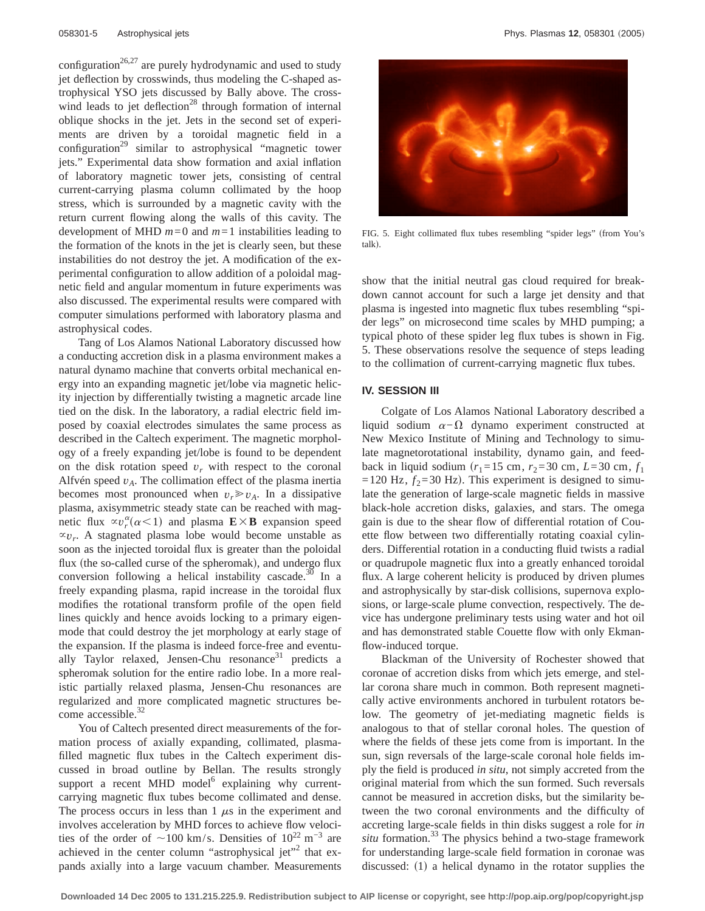configuration<sup>26,27</sup> are purely hydrodynamic and used to study jet deflection by crosswinds, thus modeling the C-shaped astrophysical YSO jets discussed by Bally above. The crosswind leads to jet deflection<sup>28</sup> through formation of internal oblique shocks in the jet. Jets in the second set of experiments are driven by a toroidal magnetic field in a configuration<sup>29</sup> similar to astrophysical "magnetic tower jets." Experimental data show formation and axial inflation of laboratory magnetic tower jets, consisting of central current-carrying plasma column collimated by the hoop stress, which is surrounded by a magnetic cavity with the return current flowing along the walls of this cavity. The development of MHD  $m=0$  and  $m=1$  instabilities leading to the formation of the knots in the jet is clearly seen, but these instabilities do not destroy the jet. A modification of the experimental configuration to allow addition of a poloidal magnetic field and angular momentum in future experiments was also discussed. The experimental results were compared with computer simulations performed with laboratory plasma and astrophysical codes.

Tang of Los Alamos National Laboratory discussed how a conducting accretion disk in a plasma environment makes a natural dynamo machine that converts orbital mechanical energy into an expanding magnetic jet/lobe via magnetic helicity injection by differentially twisting a magnetic arcade line tied on the disk. In the laboratory, a radial electric field imposed by coaxial electrodes simulates the same process as described in the Caltech experiment. The magnetic morphology of a freely expanding jet/lobe is found to be dependent on the disk rotation speed  $v_r$  with respect to the coronal Alfvén speed *vA*. The collimation effect of the plasma inertia becomes most pronounced when  $v_r \ge v_A$ . In a dissipative plasma, axisymmetric steady state can be reached with magnetic flux  $\alpha v_r^{\alpha} (\alpha < 1)$  and plasma  $\mathbf{E} \times \mathbf{B}$  expansion speed  $\alpha v_r$ . A stagnated plasma lobe would become unstable as soon as the injected toroidal flux is greater than the poloidal flux (the so-called curse of the spheromak), and undergo flux conversion following a helical instability cascade.<sup>30</sup> In a freely expanding plasma, rapid increase in the toroidal flux modifies the rotational transform profile of the open field lines quickly and hence avoids locking to a primary eigenmode that could destroy the jet morphology at early stage of the expansion. If the plasma is indeed force-free and eventually Taylor relaxed, Jensen-Chu resonance $31$  predicts a spheromak solution for the entire radio lobe. In a more realistic partially relaxed plasma, Jensen-Chu resonances are regularized and more complicated magnetic structures become accessible.<sup>32</sup>

You of Caltech presented direct measurements of the formation process of axially expanding, collimated, plasmafilled magnetic flux tubes in the Caltech experiment discussed in broad outline by Bellan. The results strongly support a recent MHD model $<sup>6</sup>$  explaining why current-</sup> carrying magnetic flux tubes become collimated and dense. The process occurs in less than  $1 \mu s$  in the experiment and involves acceleration by MHD forces to achieve flow velocities of the order of  $\sim$ 100 km/s. Densities of 10<sup>22</sup> m<sup>-3</sup> are achieved in the center column "astrophysical jet"<sup>2</sup> that expands axially into a large vacuum chamber. Measurements



FIG. 5. Eight collimated flux tubes resembling "spider legs" (from You's talk).

show that the initial neutral gas cloud required for breakdown cannot account for such a large jet density and that plasma is ingested into magnetic flux tubes resembling "spider legs" on microsecond time scales by MHD pumping; a typical photo of these spider leg flux tubes is shown in Fig. 5. These observations resolve the sequence of steps leading to the collimation of current-carrying magnetic flux tubes.

## **IV. SESSION III**

Colgate of Los Alamos National Laboratory described a liquid sodium  $\alpha-\Omega$  dynamo experiment constructed at New Mexico Institute of Mining and Technology to simulate magnetorotational instability, dynamo gain, and feedback in liquid sodium  $(r_1=15 \text{ cm}, r_2=30 \text{ cm}, L=30 \text{ cm}, f_1)$ =120 Hz,  $f_2$ =30 Hz). This experiment is designed to simulate the generation of large-scale magnetic fields in massive black-hole accretion disks, galaxies, and stars. The omega gain is due to the shear flow of differential rotation of Couette flow between two differentially rotating coaxial cylinders. Differential rotation in a conducting fluid twists a radial or quadrupole magnetic flux into a greatly enhanced toroidal flux. A large coherent helicity is produced by driven plumes and astrophysically by star-disk collisions, supernova explosions, or large-scale plume convection, respectively. The device has undergone preliminary tests using water and hot oil and has demonstrated stable Couette flow with only Ekmanflow-induced torque.

Blackman of the University of Rochester showed that coronae of accretion disks from which jets emerge, and stellar corona share much in common. Both represent magnetically active environments anchored in turbulent rotators below. The geometry of jet-mediating magnetic fields is analogous to that of stellar coronal holes. The question of where the fields of these jets come from is important. In the sun, sign reversals of the large-scale coronal hole fields imply the field is produced *in situ*, not simply accreted from the original material from which the sun formed. Such reversals cannot be measured in accretion disks, but the similarity between the two coronal environments and the difficulty of accreting large-scale fields in thin disks suggest a role for *in situ* formation.33 The physics behind a two-stage framework for understanding large-scale field formation in coronae was discussed:  $(1)$  a helical dynamo in the rotator supplies the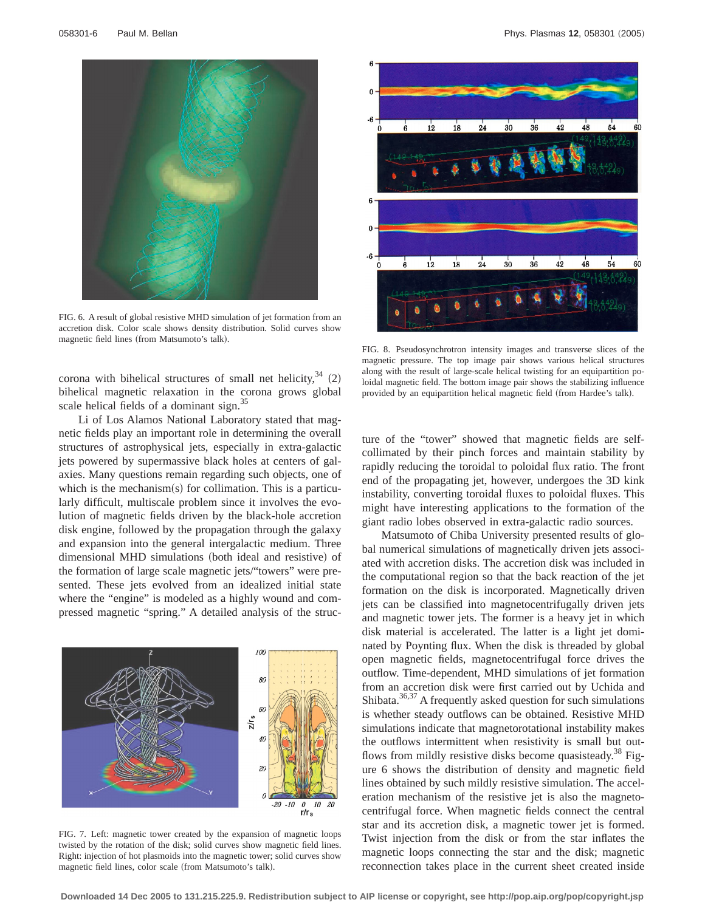

FIG. 6. A result of global resistive MHD simulation of jet formation from an accretion disk. Color scale shows density distribution. Solid curves show magnetic field lines (from Matsumoto's talk).

corona with bihelical structures of small net helicity,  $34$  (2) bihelical magnetic relaxation in the corona grows global scale helical fields of a dominant sign. $35$ 

Li of Los Alamos National Laboratory stated that magnetic fields play an important role in determining the overall structures of astrophysical jets, especially in extra-galactic jets powered by supermassive black holes at centers of galaxies. Many questions remain regarding such objects, one of which is the mechanism(s) for collimation. This is a particularly difficult, multiscale problem since it involves the evolution of magnetic fields driven by the black-hole accretion disk engine, followed by the propagation through the galaxy and expansion into the general intergalactic medium. Three dimensional MHD simulations (both ideal and resistive) of the formation of large scale magnetic jets/"towers" were presented. These jets evolved from an idealized initial state where the "engine" is modeled as a highly wound and compressed magnetic "spring." A detailed analysis of the struc-



FIG. 7. Left: magnetic tower created by the expansion of magnetic loops twisted by the rotation of the disk; solid curves show magnetic field lines. Right: injection of hot plasmoids into the magnetic tower; solid curves show magnetic field lines, color scale (from Matsumoto's talk).



FIG. 8. Pseudosynchrotron intensity images and transverse slices of the magnetic pressure. The top image pair shows various helical structures along with the result of large-scale helical twisting for an equipartition poloidal magnetic field. The bottom image pair shows the stabilizing influence provided by an equipartition helical magnetic field (from Hardee's talk).

ture of the "tower" showed that magnetic fields are selfcollimated by their pinch forces and maintain stability by rapidly reducing the toroidal to poloidal flux ratio. The front end of the propagating jet, however, undergoes the 3D kink instability, converting toroidal fluxes to poloidal fluxes. This might have interesting applications to the formation of the giant radio lobes observed in extra-galactic radio sources.

Matsumoto of Chiba University presented results of global numerical simulations of magnetically driven jets associated with accretion disks. The accretion disk was included in the computational region so that the back reaction of the jet formation on the disk is incorporated. Magnetically driven jets can be classified into magnetocentrifugally driven jets and magnetic tower jets. The former is a heavy jet in which disk material is accelerated. The latter is a light jet dominated by Poynting flux. When the disk is threaded by global open magnetic fields, magnetocentrifugal force drives the outflow. Time-dependent, MHD simulations of jet formation from an accretion disk were first carried out by Uchida and Shibata.<sup>36,37</sup> A frequently asked question for such simulations is whether steady outflows can be obtained. Resistive MHD simulations indicate that magnetorotational instability makes the outflows intermittent when resistivity is small but outflows from mildly resistive disks become quasisteady.<sup>38</sup> Figure 6 shows the distribution of density and magnetic field lines obtained by such mildly resistive simulation. The acceleration mechanism of the resistive jet is also the magnetocentrifugal force. When magnetic fields connect the central star and its accretion disk, a magnetic tower jet is formed. Twist injection from the disk or from the star inflates the magnetic loops connecting the star and the disk; magnetic reconnection takes place in the current sheet created inside

**Downloaded 14 Dec 2005 to 131.215.225.9. Redistribution subject to AIP license or copyright, see http://pop.aip.org/pop/copyright.jsp**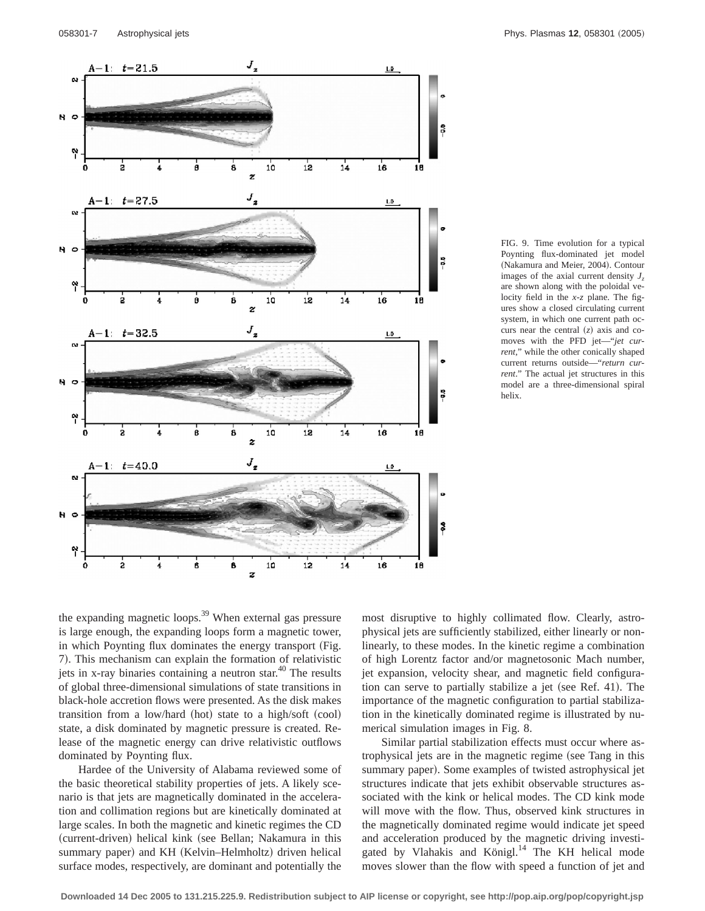

FIG. 9. Time evolution for a typical Poynting flux-dominated jet model (Nakamura and Meier, 2004). Contour images of the axial current density  $J<sub>z</sub>$ are shown along with the poloidal velocity field in the *x*-*z* plane. The figures show a closed circulating current system, in which one current path occurs near the central  $(z)$  axis and comoves with the PFD jet—"*jet current*," while the other conically shaped current returns outside—"*return current*." The actual jet structures in this model are a three-dimensional spiral helix.

the expanding magnetic loops.<sup>39</sup> When external gas pressure is large enough, the expanding loops form a magnetic tower, in which Poynting flux dominates the energy transport (Fig. 7). This mechanism can explain the formation of relativistic jets in x-ray binaries containing a neutron star. $40$  The results of global three-dimensional simulations of state transitions in black-hole accretion flows were presented. As the disk makes transition from a low/hard (hot) state to a high/soft (cool) state, a disk dominated by magnetic pressure is created. Release of the magnetic energy can drive relativistic outflows dominated by Poynting flux.

Hardee of the University of Alabama reviewed some of the basic theoretical stability properties of jets. A likely scenario is that jets are magnetically dominated in the acceleration and collimation regions but are kinetically dominated at large scales. In both the magnetic and kinetic regimes the CD (current-driven) helical kink (see Bellan; Nakamura in this summary paper) and KH (Kelvin–Helmholtz) driven helical surface modes, respectively, are dominant and potentially the most disruptive to highly collimated flow. Clearly, astrophysical jets are sufficiently stabilized, either linearly or nonlinearly, to these modes. In the kinetic regime a combination of high Lorentz factor and/or magnetosonic Mach number, jet expansion, velocity shear, and magnetic field configuration can serve to partially stabilize a jet (see Ref. 41). The importance of the magnetic configuration to partial stabilization in the kinetically dominated regime is illustrated by numerical simulation images in Fig. 8.

Similar partial stabilization effects must occur where astrophysical jets are in the magnetic regime (see Tang in this summary paper). Some examples of twisted astrophysical jet structures indicate that jets exhibit observable structures associated with the kink or helical modes. The CD kink mode will move with the flow. Thus, observed kink structures in the magnetically dominated regime would indicate jet speed and acceleration produced by the magnetic driving investigated by Vlahakis and Königl.<sup>14</sup> The KH helical mode moves slower than the flow with speed a function of jet and

**Downloaded 14 Dec 2005 to 131.215.225.9. Redistribution subject to AIP license or copyright, see http://pop.aip.org/pop/copyright.jsp**